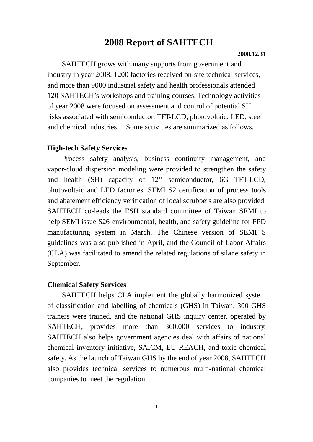# **2008 Report of SAHTECH**

 SAHTECH grows with many supports from government and industry in year 2008. 1200 factories received on-site technical services, and more than 9000 industrial safety and health professionals attended 120 SAHTECH's workshops and training courses. Technology activities of year 2008 were focused on assessment and control of potential SH risks associated with semiconductor, TFT-LCD, photovoltaic, LED, steel and chemical industries. Some activities are summarized as follows.

### **High-tech Safety Services**

Process safety analysis, business continuity management, and vapor-cloud dispersion modeling were provided to strengthen the safety and health (SH) capacity of 12'' semiconductor, 6G TFT-LCD, photovoltaic and LED factories. SEMI S2 certification of process tools and abatement efficiency verification of local scrubbers are also provided. SAHTECH co-leads the ESH standard committee of Taiwan SEMI to help SEMI issue S26-environmental, health, and safety guideline for FPD manufacturing system in March. The Chinese version of SEMI S guidelines was also published in April, and the Council of Labor Affairs (CLA) was facilitated to amend the related regulations of silane safety in September.

## **Chemical Safety Services**

**SAHTECH** helps CLA implement the globally harmonized system of classification and labelling of chemicals (GHS) in Taiwan. 300 GHS trainers were trained, and the national GHS inquiry center, operated by SAHTECH, provides more than 360,000 services to industry. SAHTECH also helps government agencies deal with affairs of national chemical inventory initiative, SAICM, EU REACH, and toxic chemical safety. As the launch of Taiwan GHS by the end of year 2008, SAHTECH also provides technical services to numerous multi-national chemical companies to meet the regulation.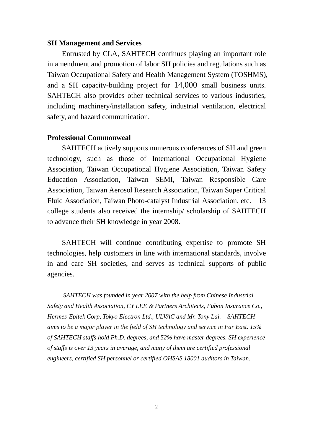#### **SH Management and Services**

Entrusted by CLA, SAHTECH continues playing an important role in amendment and promotion of labor SH policies and regulations such as Taiwan Occupational Safety and Health Management System (TOSHMS), and a SH capacity-building project for 14,000 small business units. SAHTECH also provides other technical services to various industries, including machinery/installation safety, industrial ventilation, electrical safety, and hazard communication.

### **Professional Commonweal**

SAHTECH actively supports numerous conferences of SH and green technology, such as those of International Occupational Hygiene Association, Taiwan Occupational Hygiene Association, Taiwan Safety Education Association, Taiwan SEMI, Taiwan Responsible Care Association, Taiwan Aerosol Research Association, Taiwan Super Critical Fluid Association, Taiwan Photo-catalyst Industrial Association, etc. 13 college students also received the internship/ scholarship of SAHTECH to advance their SH knowledge in year 2008.

 SAHTECH will continue contributing expertise to promote SH technologies, help customers in line with international standards, involve in and care SH societies, and serves as technical supports of public agencies.

*SAHTECH was founded in year 2007 with the help from Chinese Industrial Safety and Health Association, CY LEE & Partners Architects, Fubon Insurance Co., Hermes-Epitek Corp, Tokyo Electron Ltd., ULVAC and Mr. Tony Lai. SAHTECH aims to be a major player in the field of SH technology and service in Far East. 15% of SAHTECH staffs hold Ph.D. degrees, and 52% have master degrees. SH experience of staffs is over 13 years in average, and many of them are certified professional engineers, certified SH personnel or certified OHSAS 18001 auditors in Taiwan.*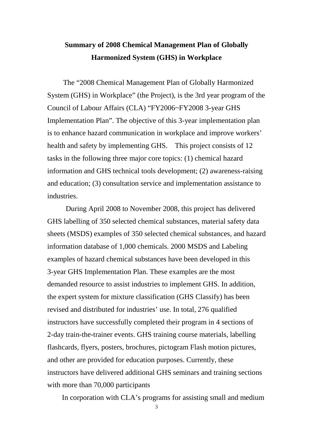# **Summary of 2008 Chemical Management Plan of Globally Harmonized System (GHS) in Workplace**

The "2008 Chemical Management Plan of Globally Harmonized System (GHS) in Workplace" (the Project), is the 3rd year program of the Council of Labour Affairs (CLA) "FY2006~FY2008 3-year GHS Implementation Plan". The objective of this 3-year implementation plan is to enhance hazard communication in workplace and improve workers' health and safety by implementing GHS. This project consists of 12 tasks in the following three major core topics: (1) chemical hazard information and GHS technical tools development; (2) awareness-raising and education; (3) consultation service and implementation assistance to industries.

During April 2008 to November 2008, this project has delivered GHS labelling of 350 selected chemical substances, material safety data sheets (MSDS) examples of 350 selected chemical substances, and hazard information database of 1,000 chemicals. 2000 MSDS and Labeling examples of hazard chemical substances have been developed in this 3-year GHS Implementation Plan. These examples are the most demanded resource to assist industries to implement GHS. In addition, the expert system for mixture classification (GHS Classify) has been revised and distributed for industries' use. In total, 276 qualified instructors have successfully completed their program in 4 sections of 2-day train-the-trainer events. GHS training course materials, labelling flashcards, flyers, posters, brochures, pictogram Flash motion pictures, and other are provided for education purposes. Currently, these instructors have delivered additional GHS seminars and training sections with more than 70,000 participants

In corporation with CLA's programs for assisting small and medium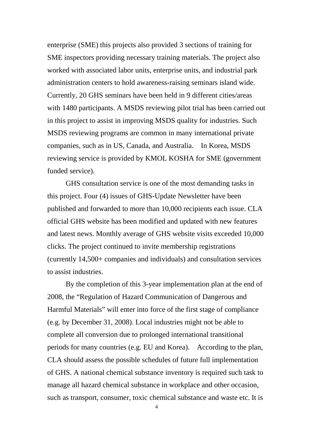enterprise (SME) this projects also provided 3 sections of training for SME inspectors providing necessary training materials. The project also worked with associated labor units, enterprise units, and industrial park administration centers to hold awareness-raising seminars island wide. Currently, 20 GHS seminars have been held in 9 different cities/areas with 1480 participants. A MSDS reviewing pilot trial has been carried out in this project to assist in improving MSDS quality for industries. Such MSDS reviewing programs are common in many international private companies, such as in US, Canada, and Australia. In Korea, MSDS reviewing service is provided by KMOL KOSHA for SME (government funded service).

GHS consultation service is one of the most demanding tasks in this project. Four (4) issues of GHS-Update Newsletter have been published and forwarded to more than 10,000 recipients each issue. CLA official GHS website has been modified and updated with new features and latest news. Monthly average of GHS website visits exceeded 10,000 clicks. The project continued to invite membership registrations (currently 14,500+ companies and individuals) and consultation services to assist industries.

By the completion of this 3-year implementation plan at the end of 2008, the "Regulation of Hazard Communication of Dangerous and Harmful Materials" will enter into force of the first stage of compliance (e.g. by December 31, 2008). Local industries might not be able to complete all conversion due to prolonged international transitional periods for many countries (e.g. EU and Korea). According to the plan, CLA should assess the possible schedules of future full implementation of GHS. A national chemical substance inventory is required such task to manage all hazard chemical substance in workplace and other occasion, such as transport, consumer, toxic chemical substance and waste etc. It is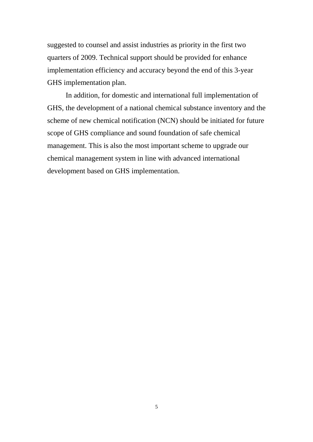suggested to counsel and assist industries as priority in the first two quarters of 2009. Technical support should be provided for enhance implementation efficiency and accuracy beyond the end of this 3-year GHS implementation plan.

In addition, for domestic and international full implementation of GHS, the development of a national chemical substance inventory and the scheme of new chemical notification (NCN) should be initiated for future scope of GHS compliance and sound foundation of safe chemical management. This is also the most important scheme to upgrade our chemical management system in line with advanced international development based on GHS implementation.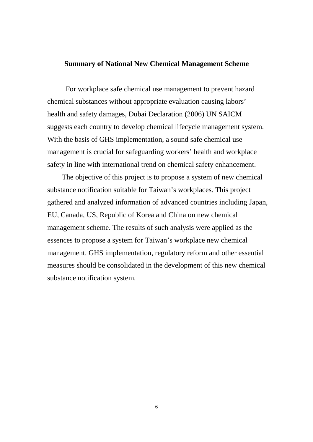#### **Summary of National New Chemical Management Scheme**

For workplace safe chemical use management to prevent hazard chemical substances without appropriate evaluation causing labors' health and safety damages, Dubai Declaration (2006) UN SAICM suggests each country to develop chemical lifecycle management system. With the basis of GHS implementation, a sound safe chemical use management is crucial for safeguarding workers' health and workplace safety in line with international trend on chemical safety enhancement.

The objective of this project is to propose a system of new chemical substance notification suitable for Taiwan's workplaces. This project gathered and analyzed information of advanced countries including Japan, EU, Canada, US, Republic of Korea and China on new chemical management scheme. The results of such analysis were applied as the essences to propose a system for Taiwan's workplace new chemical management. GHS implementation, regulatory reform and other essential measures should be consolidated in the development of this new chemical substance notification system.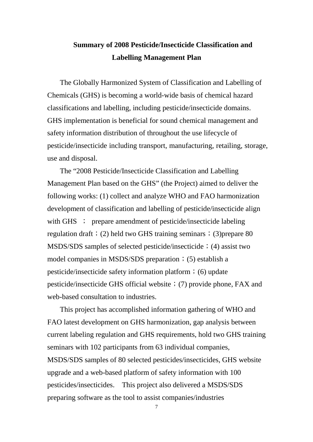# **Summary of 2008 Pesticide/Insecticide Classification and Labelling Management Plan**

The Globally Harmonized System of Classification and Labelling of Chemicals (GHS) is becoming a world-wide basis of chemical hazard classifications and labelling, including pesticide/insecticide domains. GHS implementation is beneficial for sound chemical management and safety information distribution of throughout the use lifecycle of pesticide/insecticide including transport, manufacturing, retailing, storage, use and disposal.

The "2008 Pesticide/Insecticide Classification and Labelling Management Plan based on the GHS" (the Project) aimed to deliver the following works: (1) collect and analyze WHO and FAO harmonization development of classification and labelling of pesticide/insecticide align with GHS ; prepare amendment of pesticide/insecticide labeling regulation draft; (2) held two GHS training seminars; (3) prepare 80 MSDS/SDS samples of selected pesticide/insecticide; (4) assist two model companies in MSDS/SDS preparation; (5) establish a pesticide/insecticide safety information platform;(6) update pesticide/insecticide GHS official website;(7) provide phone, FAX and web-based consultation to industries.

This project has accomplished information gathering of WHO and FAO latest development on GHS harmonization, gap analysis between current labeling regulation and GHS requirements, hold two GHS training seminars with 102 participants from 63 individual companies, MSDS/SDS samples of 80 selected pesticides/insecticides, GHS website upgrade and a web-based platform of safety information with 100 pesticides/insecticides. This project also delivered a MSDS/SDS preparing software as the tool to assist companies/industries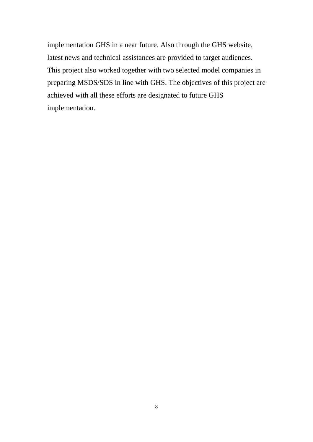implementation GHS in a near future. Also through the GHS website, latest news and technical assistances are provided to target audiences. This project also worked together with two selected model companies in preparing MSDS/SDS in line with GHS. The objectives of this project are achieved with all these efforts are designated to future GHS implementation.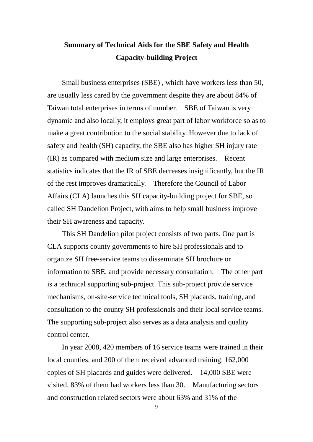# **Summary of Technical Aids for the SBE Safety and Health Capacity-building Project**

 Small business enterprises (SBE) , which have workers less than 50, are usually less cared by the government despite they are about 84% of Taiwan total enterprises in terms of number. SBE of Taiwan is very dynamic and also locally, it employs great part of labor workforce so as to make a great contribution to the social stability. However due to lack of safety and health (SH) capacity, the SBE also has higher SH injury rate (IR) as compared with medium size and large enterprises. Recent statistics indicates that the IR of SBE decreases insignificantly, but the IR of the rest improves dramatically. Therefore the Council of Labor Affairs (CLA) launches this SH capacity-building project for SBE, so called SH Dandelion Project, with aims to help small business improve their SH awareness and capacity.

This SH Dandelion pilot project consists of two parts. One part is CLA supports county governments to hire SH professionals and to organize SH free-service teams to disseminate SH brochure or information to SBE, and provide necessary consultation. The other part is a technical supporting sub-project. This sub-project provide service mechanisms, on-site-service technical tools, SH placards, training, and consultation to the county SH professionals and their local service teams. The supporting sub-project also serves as a data analysis and quality control center.

In year 2008, 420 members of 16 service teams were trained in their local counties, and 200 of them received advanced training. 162,000 copies of SH placards and guides were delivered. 14,000 SBE were visited, 83% of them had workers less than 30. Manufacturing sectors and construction related sectors were about 63% and 31% of the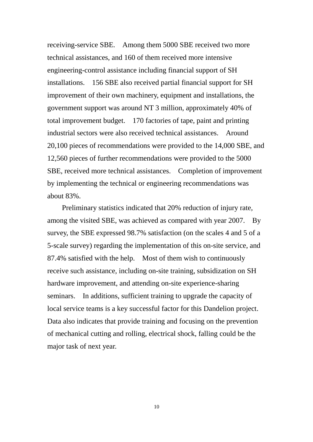receiving-service SBE. Among them 5000 SBE received two more technical assistances, and 160 of them received more intensive engineering-control assistance including financial support of SH installations. 156 SBE also received partial financial support for SH improvement of their own machinery, equipment and installations, the government support was around NT 3 million, approximately 40% of total improvement budget. 170 factories of tape, paint and printing industrial sectors were also received technical assistances. Around 20,100 pieces of recommendations were provided to the 14,000 SBE, and 12,560 pieces of further recommendations were provided to the 5000 SBE, received more technical assistances. Completion of improvement by implementing the technical or engineering recommendations was about 83%.

Preliminary statistics indicated that 20% reduction of injury rate, among the visited SBE, was achieved as compared with year 2007. By survey, the SBE expressed 98.7% satisfaction (on the scales 4 and 5 of a 5-scale survey) regarding the implementation of this on-site service, and 87.4% satisfied with the help. Most of them wish to continuously receive such assistance, including on-site training, subsidization on SH hardware improvement, and attending on-site experience-sharing seminars. In additions, sufficient training to upgrade the capacity of local service teams is a key successful factor for this Dandelion project. Data also indicates that provide training and focusing on the prevention of mechanical cutting and rolling, electrical shock, falling could be the major task of next year.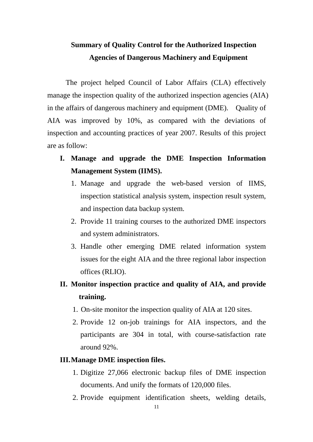# **Summary of Quality Control for the Authorized Inspection Agencies of Dangerous Machinery and Equipment**

The project helped Council of Labor Affairs (CLA) effectively manage the inspection quality of the authorized inspection agencies (AIA) in the affairs of dangerous machinery and equipment (DME). Quality of AIA was improved by 10%, as compared with the deviations of inspection and accounting practices of year 2007. Results of this project are as follow:

- **I. Manage and upgrade the DME Inspection Information Management System (IIMS).** 
	- 1. Manage and upgrade the web-based version of IIMS, inspection statistical analysis system, inspection result system, and inspection data backup system.
	- 2. Provide 11 training courses to the authorized DME inspectors and system administrators.
	- 3. Handle other emerging DME related information system issues for the eight AIA and the three regional labor inspection offices (RLIO).
- **II. Monitor inspection practice and quality of AIA, and provide training.** 
	- 1. On-site monitor the inspection quality of AIA at 120 sites.
	- 2. Provide 12 on-job trainings for AIA inspectors, and the participants are 304 in total, with course-satisfaction rate around 92%.

### **III.Manage DME inspection files.**

- 1. Digitize 27,066 electronic backup files of DME inspection documents. And unify the formats of 120,000 files.
- 2. Provide equipment identification sheets, welding details,